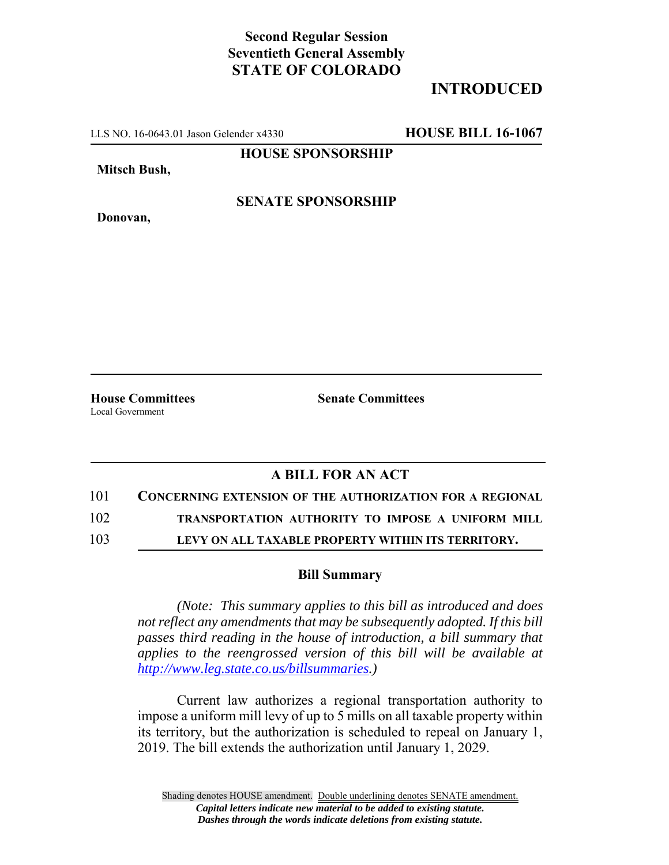## **Second Regular Session Seventieth General Assembly STATE OF COLORADO**

## **INTRODUCED**

LLS NO. 16-0643.01 Jason Gelender x4330 **HOUSE BILL 16-1067**

**HOUSE SPONSORSHIP**

**Mitsch Bush,**

**Donovan,**

**SENATE SPONSORSHIP**

**House Committees Senate Committees** Local Government

## **A BILL FOR AN ACT**

101 **CONCERNING EXTENSION OF THE AUTHORIZATION FOR A REGIONAL**

102 **TRANSPORTATION AUTHORITY TO IMPOSE A UNIFORM MILL**

103 **LEVY ON ALL TAXABLE PROPERTY WITHIN ITS TERRITORY.**

## **Bill Summary**

*(Note: This summary applies to this bill as introduced and does not reflect any amendments that may be subsequently adopted. If this bill passes third reading in the house of introduction, a bill summary that applies to the reengrossed version of this bill will be available at http://www.leg.state.co.us/billsummaries.)*

Current law authorizes a regional transportation authority to impose a uniform mill levy of up to 5 mills on all taxable property within its territory, but the authorization is scheduled to repeal on January 1, 2019. The bill extends the authorization until January 1, 2029.